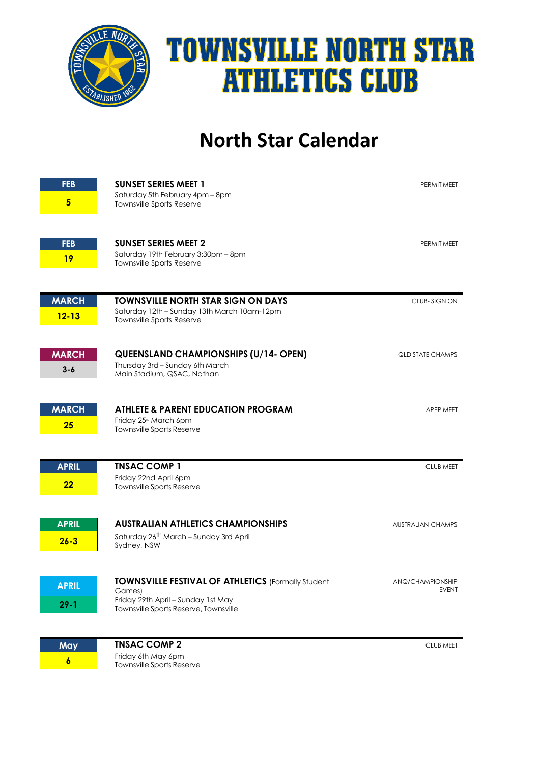

## **TOWNSVILLE NORTH STAR ATHLETICS CLUB**

## **North Star Calendar**

| <b>FEB</b><br>$5\phantom{.0}$ | <b>SUNSET SERIES MEET 1</b><br>Saturday 5th February 4pm - 8pm<br>Townsville Sports Reserve                                                 | PERMIT MEET                      |
|-------------------------------|---------------------------------------------------------------------------------------------------------------------------------------------|----------------------------------|
| <b>FEB</b><br>19              | <b>SUNSET SERIES MEET 2</b><br>Saturday 19th February 3:30pm - 8pm<br><b>Townsville Sports Reserve</b>                                      | PERMIT MEET                      |
| <b>MARCH</b><br>$12 - 13$     | <b>TOWNSVILLE NORTH STAR SIGN ON DAYS</b><br>Saturday 12th - Sunday 13th March 10am-12pm<br>Townsville Sports Reserve                       | CLUB-SIGN ON                     |
| <b>MARCH</b><br>$3 - 6$       | <b>QUEENSLAND CHAMPIONSHIPS (U/14- OPEN)</b><br>Thursday 3rd - Sunday 6th March<br>Main Stadium, QSAC, Nathan                               | <b>QLD STATE CHAMPS</b>          |
| <b>MARCH</b><br>25            | <b>ATHLETE &amp; PARENT EDUCATION PROGRAM</b><br>Friday 25 <sup>th</sup> March 6pm<br>Townsville Sports Reserve                             | APEP MEET                        |
| <b>APRIL</b><br>22            | <b>TNSAC COMP 1</b><br>Friday 22nd April 6pm<br>Townsville Sports Reserve                                                                   | <b>CLUB MEET</b>                 |
| <b>APRIL</b><br>$26 - 3$      | <b>AUSTRALIAN ATHLETICS CHAMPIONSHIPS</b><br>Saturday 26 <sup>th</sup> March - Sunday 3rd April<br>Sydney, NSW                              | <b>AUSTRALIAN CHAMPS</b>         |
| <b>APRIL</b><br>$29 - 1$      | TOWNSVILLE FESTIVAL OF ATHLETICS (Formally Student<br>Games)<br>Friday 29th April - Sunday 1st May<br>Townsville Sports Reserve, Townsville | ANQ/CHAMPIONSHIP<br><b>EVENT</b> |
| May<br>$\boldsymbol{6}$       | <b>TNSAC COMP 2</b><br>Friday 6th May 6pm<br>Townsville Sports Reserve                                                                      | CLUB MEET                        |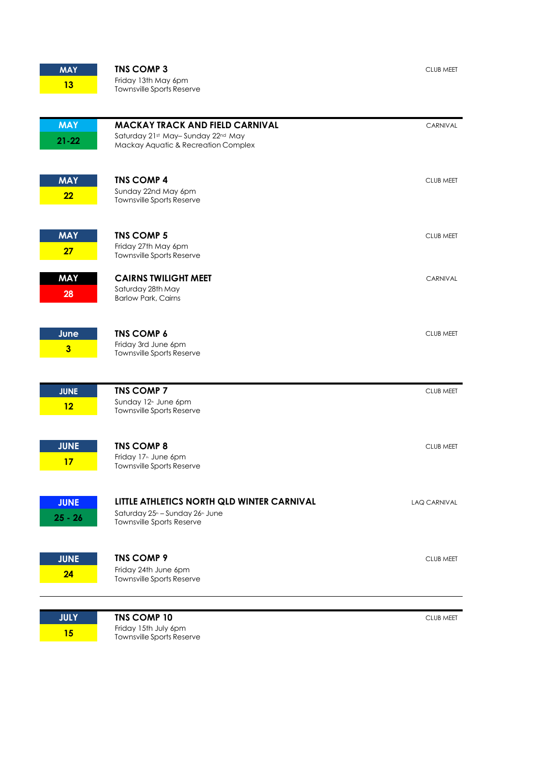| <b>MAY</b>              | <b>TNS COMP 3</b>                                                                                      | <b>CLUB MEET</b>    |
|-------------------------|--------------------------------------------------------------------------------------------------------|---------------------|
| 13                      | Friday 13th May 6pm<br>Townsville Sports Reserve                                                       |                     |
|                         |                                                                                                        |                     |
| <b>MAY</b>              | <b>MACKAY TRACK AND FIELD CARNIVAL</b>                                                                 | CARNIVAL            |
| $21 - 22$               | Saturday 21st May-Sunday 22nd May<br>Mackay Aquatic & Recreation Complex                               |                     |
|                         |                                                                                                        |                     |
| <b>MAY</b>              | <b>TNS COMP 4</b>                                                                                      | <b>CLUB MEET</b>    |
| 22                      | Sunday 22nd May 6pm<br>Townsville Sports Reserve                                                       |                     |
|                         |                                                                                                        |                     |
| <b>MAY</b>              | <b>TNS COMP 5</b>                                                                                      | <b>CLUB MEET</b>    |
| 27                      | Friday 27th May 6pm<br>Townsville Sports Reserve                                                       |                     |
| <b>MAY</b>              | <b>CAIRNS TWILIGHT MEET</b>                                                                            | CARNIVAL            |
| 28                      | Saturday 28th May<br><b>Barlow Park, Cairns</b>                                                        |                     |
|                         |                                                                                                        |                     |
| June                    | <b>TNS COMP 6</b>                                                                                      | <b>CLUB MEET</b>    |
| $\overline{\mathbf{3}}$ | Friday 3rd June 6pm<br>Townsville Sports Reserve                                                       |                     |
|                         |                                                                                                        |                     |
| <b>JUNE</b>             | <b>TNS COMP 7</b>                                                                                      | <b>CLUB MEET</b>    |
| 12                      | Sunday 12 <sup>th</sup> June 6pm<br>Townsville Sports Reserve                                          |                     |
|                         |                                                                                                        |                     |
| <b>JUNE</b>             | <b>TNS COMP 8</b>                                                                                      | <b>CLUB MEET</b>    |
| 17                      | Friday 17 <sup>th</sup> June 6pm<br>Townsville Sports Reserve                                          |                     |
|                         |                                                                                                        |                     |
| <b>JUNE</b>             | LITTLE ATHLETICS NORTH QLD WINTER CARNIVAL<br>Saturday 25 <sup>th</sup> - Sunday 26 <sup>th</sup> June | <b>LAQ CARNIVAL</b> |
| $25 - 26$               | Townsville Sports Reserve                                                                              |                     |
|                         | <b>TNS COMP 9</b>                                                                                      |                     |
| <b>JUNE</b><br>24       | Friday 24th June 6pm                                                                                   | <b>CLUB MEET</b>    |
|                         | Townsville Sports Reserve                                                                              |                     |
|                         |                                                                                                        |                     |
| <b>JULY</b><br>15       | <b>TNS COMP 10</b><br>Friday 15th July 6pm                                                             | <b>CLUB MEET</b>    |
|                         | Townsville Sports Reserve                                                                              |                     |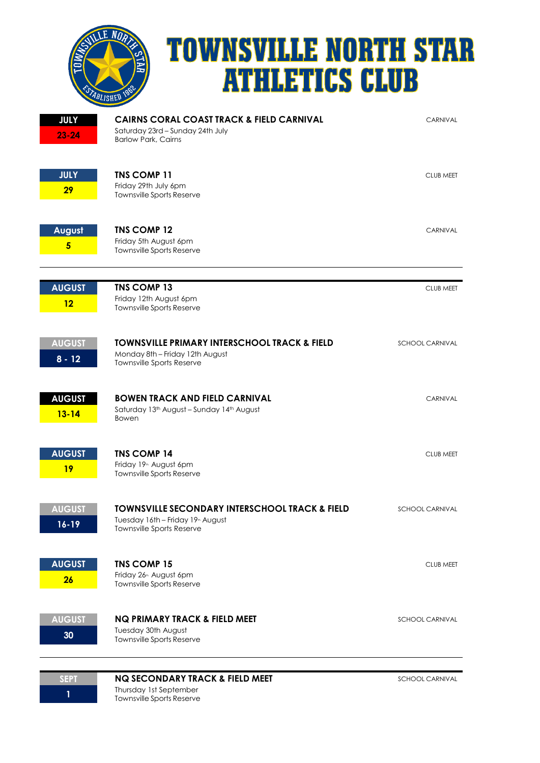

## **TOWNSVILLE NORTH STAR ATHLETICS CLUB**

| <b>JULY</b><br>$23 - 24$   | <b>CAIRNS CORAL COAST TRACK &amp; FIELD CARNIVAL</b><br>Saturday 23rd - Sunday 24th July<br><b>Barlow Park, Cairns</b>                  | CARNIVAL               |
|----------------------------|-----------------------------------------------------------------------------------------------------------------------------------------|------------------------|
| <b>JULY</b><br>29          | <b>TNS COMP 11</b><br>Friday 29th July 6pm<br>Townsville Sports Reserve                                                                 | <b>CLUB MEET</b>       |
| August<br>$5\phantom{1}$   | <b>TNS COMP 12</b><br>Friday 5th August 6pm<br>Townsville Sports Reserve                                                                | CARNIVAL               |
| <b>AUGUST</b><br>12        | <b>TNS COMP 13</b><br>Friday 12th August 6pm<br><b>Townsville Sports Reserve</b>                                                        | <b>CLUB MEET</b>       |
| <b>AUGUST</b><br>$8 - 12$  | <b>TOWNSVILLE PRIMARY INTERSCHOOL TRACK &amp; FIELD</b><br>Monday 8th - Friday 12th August<br>Townsville Sports Reserve                 | <b>SCHOOL CARNIVAL</b> |
| <b>AUGUST</b><br>$13 - 14$ | <b>BOWEN TRACK AND FIELD CARNIVAL</b><br>Saturday 13 <sup>th</sup> August - Sunday 14 <sup>th</sup> August<br>Bowen                     | <b>CARNIVAL</b>        |
| <b>AUGUST</b><br>19        | <b>TNS COMP 14</b><br>Friday 19 <sup>th</sup> August 6pm<br>Townsville Sports Reserve                                                   | <b>CLUB MEET</b>       |
| <b>AUGUST</b><br>$16 - 19$ | <b>TOWNSVILLE SECONDARY INTERSCHOOL TRACK &amp; FIELD</b><br>Tuesday 16th - Friday 19 <sup>th</sup> August<br>Townsville Sports Reserve | <b>SCHOOL CARNIVAL</b> |
| <b>AUGUST</b><br>26        | <b>TNS COMP 15</b><br>Friday 26 <sup>th</sup> August 6pm<br>Townsville Sports Reserve                                                   | <b>CLUB MEET</b>       |
| <b>AUGUST</b><br>30        | <b>NQ PRIMARY TRACK &amp; FIELD MEET</b><br>Tuesday 30th August<br><b>Townsville Sports Reserve</b>                                     | <b>SCHOOL CARNIVAL</b> |
| <b>SEPT</b>                | <b>NQ SECONDARY TRACK &amp; FIELD MEET</b>                                                                                              | SCHOOL CARNIVAL        |

## **1** Thursday 1st September Townsville Sports Reserve